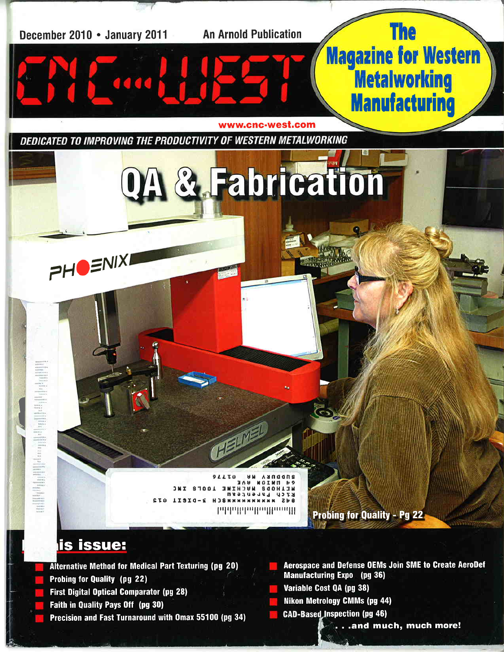

- Faith in Quality Pays Off (pg 30)
- Precision and Fast Turnaround with Omax 55100 (pg 34)

...and much, much more!

**CAD-Based Inspection (pg 46)**